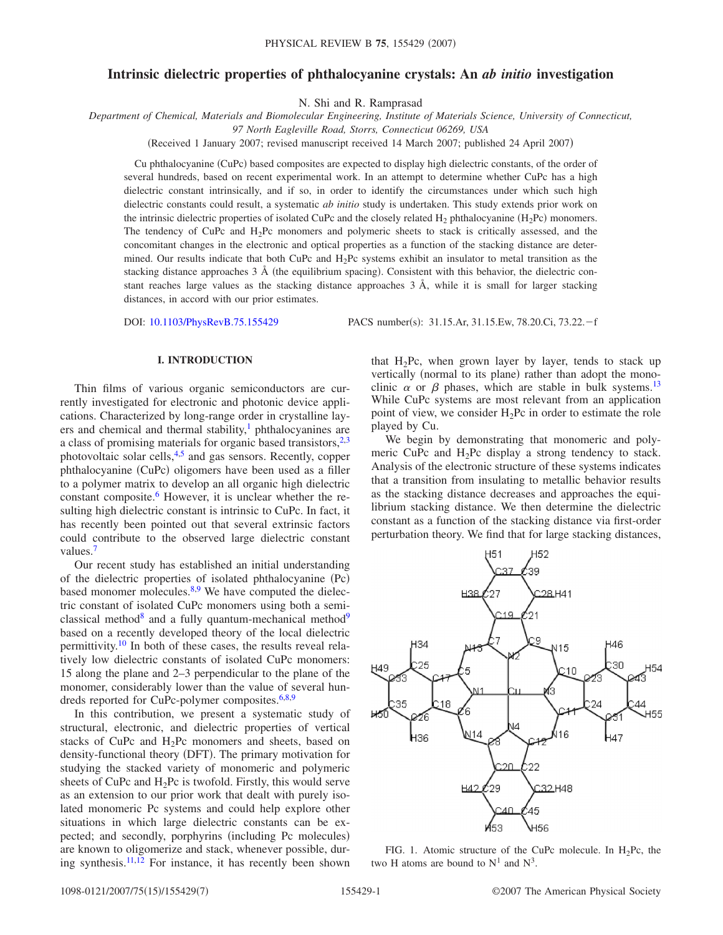# **Intrinsic dielectric properties of phthalocyanine crystals: An** *ab initio* **investigation**

N. Shi and R. Ramprasad

*Department of Chemical, Materials and Biomolecular Engineering, Institute of Materials Science, University of Connecticut,*

*97 North Eagleville Road, Storrs, Connecticut 06269, USA*

(Received 1 January 2007; revised manuscript received 14 March 2007; published 24 April 2007)

Cu phthalocyanine (CuPc) based composites are expected to display high dielectric constants, of the order of several hundreds, based on recent experimental work. In an attempt to determine whether CuPc has a high dielectric constant intrinsically, and if so, in order to identify the circumstances under which such high dielectric constants could result, a systematic *ab initio* study is undertaken. This study extends prior work on the intrinsic dielectric properties of isolated CuPc and the closely related  $H_2$  phthalocyanine ( $H_2$ Pc) monomers. The tendency of CuPc and  $H_2$ Pc monomers and polymeric sheets to stack is critically assessed, and the concomitant changes in the electronic and optical properties as a function of the stacking distance are determined. Our results indicate that both CuPc and  $H_2Pc$  systems exhibit an insulator to metal transition as the stacking distance approaches 3 Å (the equilibrium spacing). Consistent with this behavior, the dielectric constant reaches large values as the stacking distance approaches 3 Å, while it is small for larger stacking distances, in accord with our prior estimates.

DOI: [10.1103/PhysRevB.75.155429](http://dx.doi.org/10.1103/PhysRevB.75.155429)

PACS number(s): 31.15.Ar, 31.15.Ew, 78.20.Ci, 73.22. – f

## **I. INTRODUCTION**

Thin films of various organic semiconductors are currently investigated for electronic and photonic device applications. Characterized by long-range order in crystalline layers and chemical and thermal stability, $\frac{1}{1}$  phthalocyanines are a class of promising materials for organic based transistors,  $2,3$  $2,3$ photovoltaic solar cells, $4.5$  $4.5$  and gas sensors. Recently, copper phthalocyanine (CuPc) oligomers have been used as a filler to a polymer matrix to develop an all organic high dielectric constant composite. $6$  However, it is unclear whether the resulting high dielectric constant is intrinsic to CuPc. In fact, it has recently been pointed out that several extrinsic factors could contribute to the observed large dielectric constant values.<sup>7</sup>

Our recent study has established an initial understanding of the dielectric properties of isolated phthalocyanine (Pc) based monomer molecules. $8,9$  $8,9$  We have computed the dielectric constant of isolated CuPc monomers using both a semiclassical method<sup>8</sup> and a fully quantum-mechanical method<sup>9</sup> based on a recently developed theory of the local dielectric permittivity.<sup>10</sup> In both of these cases, the results reveal relatively low dielectric constants of isolated CuPc monomers: 15 along the plane and 2–3 perpendicular to the plane of the monomer, considerably lower than the value of several hun-dreds reported for CuPc-polymer composites.<sup>6,[8](#page-6-7)[,9](#page-6-8)</sup>

In this contribution, we present a systematic study of structural, electronic, and dielectric properties of vertical stacks of CuPc and  $H_2$ Pc monomers and sheets, based on density-functional theory (DFT). The primary motivation for studying the stacked variety of monomeric and polymeric sheets of CuPc and  $H_2$ Pc is twofold. Firstly, this would serve as an extension to our prior work that dealt with purely isolated monomeric Pc systems and could help explore other situations in which large dielectric constants can be expected; and secondly, porphyrins (including Pc molecules) are known to oligomerize and stack, whenever possible, dur-ing synthesis.<sup>11,[12](#page-6-11)</sup> For instance, it has recently been shown that  $H_2$ Pc, when grown layer by layer, tends to stack up vertically (normal to its plane) rather than adopt the monoclinic  $\alpha$  or  $\beta$  phases, which are stable in bulk systems.<sup>13</sup> While CuPc systems are most relevant from an application point of view, we consider  $H_2Pc$  in order to estimate the role played by Cu.

We begin by demonstrating that monomeric and polymeric CuPc and  $H_2$ Pc display a strong tendency to stack. Analysis of the electronic structure of these systems indicates that a transition from insulating to metallic behavior results as the stacking distance decreases and approaches the equilibrium stacking distance. We then determine the dielectric constant as a function of the stacking distance via first-order perturbation theory. We find that for large stacking distances,

<span id="page-0-0"></span>

FIG. 1. Atomic structure of the CuPc molecule. In  $H_2Pc$ , the two H atoms are bound to  $N^1$  and  $N^3$ .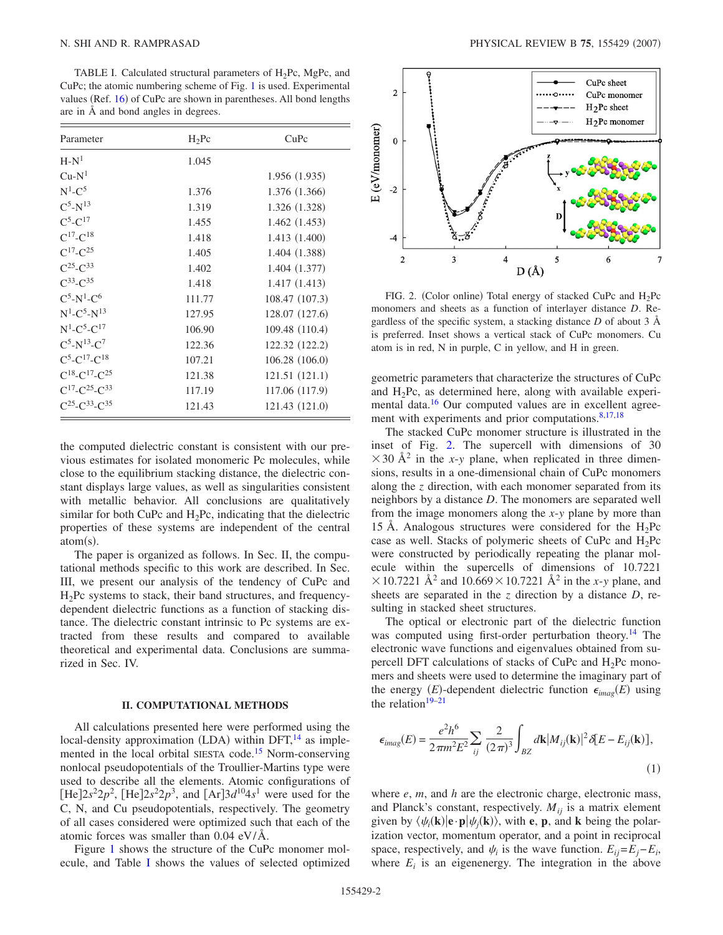<span id="page-1-0"></span>TABLE I. Calculated structural parameters of  $H_2Pc$ , MgPc, and CuPc; the atomic numbering scheme of Fig. [1](#page-0-0) is used. Experimental values (Ref. [16](#page-6-15)) of CuPc are shown in parentheses. All bond lengths are in Å and bond angles in degrees.

| Parameter                                  | $H_2$ Pc | CuPc           |
|--------------------------------------------|----------|----------------|
| $H-N1$                                     | 1.045    |                |
| $Cu-N1$                                    |          | 1.956(1.935)   |
| $N^1$ -C <sup>5</sup>                      | 1.376    | 1.376 (1.366)  |
| $C^5$ -N <sup>13</sup>                     | 1.319    | 1.326 (1.328)  |
| $C^5 - C^{17}$                             | 1.455    | 1.462(1.453)   |
| $C^{17}$ - $C^{18}$                        | 1.418    | 1.413 (1.400)  |
| $C^{17}$ - $C^{25}$                        | 1.405    | 1.404 (1.388)  |
| $C^{25}$ - $C^{33}$                        | 1.402    | 1.404 (1.377)  |
| $C^{33}$ - $C^{35}$                        | 1.418    | 1.417(1.413)   |
| $C^5$ -N <sup>1</sup> -C <sup>6</sup>      | 111.77   | 108.47 (107.3) |
| $N^1$ -C <sup>5</sup> -N <sup>13</sup>     | 127.95   | 128.07 (127.6) |
| $N^1$ -C <sup>5</sup> -C <sup>17</sup>     | 106.90   | 109.48 (110.4) |
| $C^5$ -N <sup>13</sup> -C <sup>7</sup>     | 122.36   | 122.32 (122.2) |
| $C^5$ -C <sup>17</sup> -C <sup>18</sup>    | 107.21   | 106.28(106.0)  |
| $C^{18}$ -C <sup>17</sup> -C <sup>25</sup> | 121.38   | 121.51 (121.1) |
| $C^{17}$ - $C^{25}$ - $C^{33}$             | 117.19   | 117.06 (117.9) |
| $C^{25}$ - $C^{33}$ - $C^{35}$             | 121.43   | 121.43 (121.0) |

the computed dielectric constant is consistent with our previous estimates for isolated monomeric Pc molecules, while close to the equilibrium stacking distance, the dielectric constant displays large values, as well as singularities consistent with metallic behavior. All conclusions are qualitatively similar for both CuPc and  $H_2$ Pc, indicating that the dielectric properties of these systems are independent of the central  $atom(s)$ .

The paper is organized as follows. In Sec. II, the computational methods specific to this work are described. In Sec. III, we present our analysis of the tendency of CuPc and H2Pc systems to stack, their band structures, and frequencydependent dielectric functions as a function of stacking distance. The dielectric constant intrinsic to Pc systems are extracted from these results and compared to available theoretical and experimental data. Conclusions are summarized in Sec. IV.

#### **II. COMPUTATIONAL METHODS**

All calculations presented here were performed using the local-density approximation (LDA) within DFT,<sup>14</sup> as implemented in the local orbital SIESTA code.<sup>15</sup> Norm-conserving nonlocal pseudopotentials of the Troullier-Martins type were used to describe all the elements. Atomic configurations of  $[He]2s^22p^2$ ,  $[He]2s^22p^3$ , and  $[Ar]3d^{10}4s^1$  were used for the C, N, and Cu pseudopotentials, respectively. The geometry of all cases considered were optimized such that each of the atomic forces was smaller than 0.04 eV/Å.

Figure [1](#page-0-0) shows the structure of the CuPc monomer molecule, and Table [I](#page-1-0) shows the values of selected optimized

<span id="page-1-1"></span>

FIG. 2. (Color online) Total energy of stacked CuPc and  $H_2Pc$ monomers and sheets as a function of interlayer distance *D*. Regardless of the specific system, a stacking distance *D* of about 3 Å is preferred. Inset shows a vertical stack of CuPc monomers. Cu atom is in red, N in purple, C in yellow, and H in green.

geometric parameters that characterize the structures of CuPc and  $H_2Pc$ , as determined here, along with available experimental data.<sup>16</sup> Our computed values are in excellent agreement with experiments and prior computations. $8,17,18$  $8,17,18$  $8,17,18$ 

The stacked CuPc monomer structure is illustrated in the inset of Fig. [2.](#page-1-1) The supercell with dimensions of 30  $\times$  30 Å<sup>2</sup> in the *x*-*y* plane, when replicated in three dimensions, results in a one-dimensional chain of CuPc monomers along the *z* direction, with each monomer separated from its neighbors by a distance *D*. The monomers are separated well from the image monomers along the *x*-*y* plane by more than 15 Å. Analogous structures were considered for the  $H_2Pc$ case as well. Stacks of polymeric sheets of CuPc and  $H_2Pc$ were constructed by periodically repeating the planar molecule within the supercells of dimensions of 10.7221  $\times$  10.7221 Å<sup>2</sup> and 10.669 $\times$  10.7221 Å<sup>2</sup> in the *x*-*y* plane, and sheets are separated in the *z* direction by a distance *D*, resulting in stacked sheet structures.

The optical or electronic part of the dielectric function was computed using first-order perturbation theory.<sup>14</sup> The electronic wave functions and eigenvalues obtained from supercell DFT calculations of stacks of CuPc and  $H_2$ Pc monomers and sheets were used to determine the imaginary part of the energy  $(E)$ -dependent dielectric function  $\epsilon_{imag}(E)$  using the relation $19-21$ 

$$
\epsilon_{imag}(E) = \frac{e^2 h^6}{2\pi m^2 E^2} \sum_{ij} \frac{2}{(2\pi)^3} \int_{BZ} d\mathbf{k} |M_{ij}(\mathbf{k})|^2 \delta[E - E_{ij}(\mathbf{k})],
$$
\n(1)

where *e*, *m*, and *h* are the electronic charge, electronic mass, and Planck's constant, respectively.  $M_{ij}$  is a matrix element given by  $\langle \psi_i(\mathbf{k}) | \mathbf{e} \cdot \mathbf{p} | \psi_j(\mathbf{k}) \rangle$ , with **e**, **p**, and **k** being the polarization vector, momentum operator, and a point in reciprocal space, respectively, and  $\psi_i$  is the wave function.  $E_{ij} = E_j - E_i$ , where  $E_i$  is an eigenenergy. The integration in the above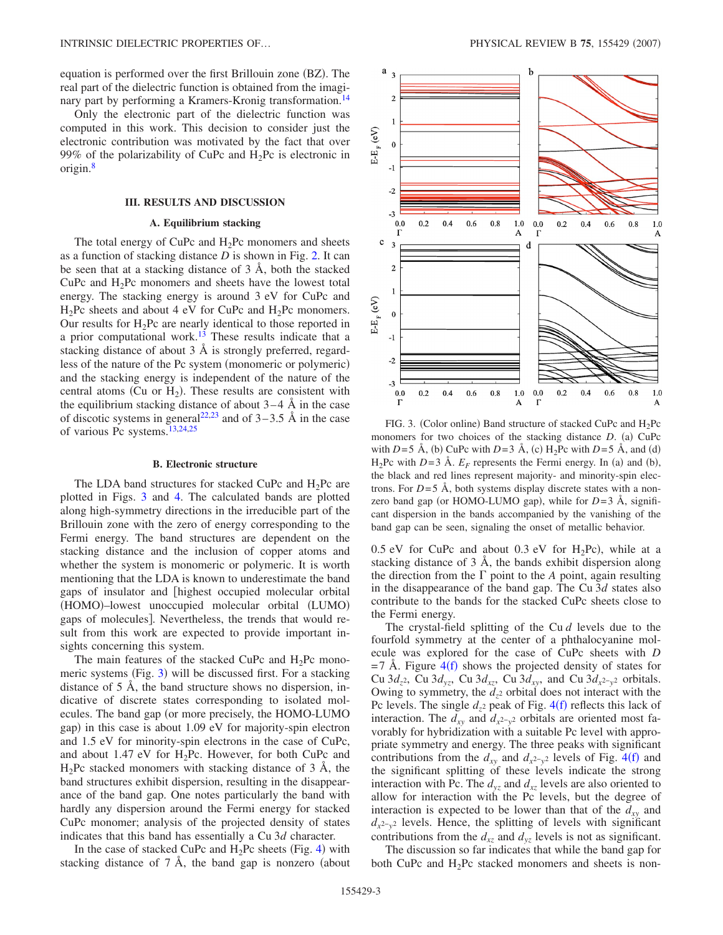equation is performed over the first Brillouin zone (BZ). The real part of the dielectric function is obtained from the imaginary part by performing a Kramers-Kronig transformation.<sup>14</sup>

Only the electronic part of the dielectric function was computed in this work. This decision to consider just the electronic contribution was motivated by the fact that over 99% of the polarizability of CuPc and  $H_2$ Pc is electronic in origin.<sup>8</sup>

## **III. RESULTS AND DISCUSSION**

#### **A. Equilibrium stacking**

The total energy of CuPc and  $H_2$ Pc monomers and sheets as a function of stacking distance *D* is shown in Fig. [2.](#page-1-1) It can be seen that at a stacking distance of 3 Å, both the stacked CuPc and  $H_2$ Pc monomers and sheets have the lowest total energy. The stacking energy is around 3 eV for CuPc and  $H_2$ Pc sheets and about 4 eV for CuPc and  $H_2$ Pc monomers. Our results for  $H_2$ Pc are nearly identical to those reported in a prior computational work.<sup>13</sup> These results indicate that a stacking distance of about 3 Å is strongly preferred, regardless of the nature of the Pc system (monomeric or polymeric) and the stacking energy is independent of the nature of the central atoms (Cu or  $H_2$ ). These results are consistent with the equilibrium stacking distance of about  $3-4$  Å in the case of discotic systems in general<sup>22,[23](#page-6-21)</sup> and of  $3-3.5$  Å in the case of various Pc systems.<sup>13[,24](#page-6-22)[,25](#page-6-16)</sup>

#### **B. Electronic structure**

The LDA band structures for stacked CuPc and  $H_2$ Pc are plotted in Figs. [3](#page-2-0) and [4.](#page-3-0) The calculated bands are plotted along high-symmetry directions in the irreducible part of the Brillouin zone with the zero of energy corresponding to the Fermi energy. The band structures are dependent on the stacking distance and the inclusion of copper atoms and whether the system is monomeric or polymeric. It is worth mentioning that the LDA is known to underestimate the band gaps of insulator and highest occupied molecular orbital (HOMO)-lowest unoccupied molecular orbital (LUMO) gaps of molecules. Nevertheless, the trends that would result from this work are expected to provide important insights concerning this system.

The main features of the stacked CuPc and  $H_2$ Pc mono-meric systems (Fig. [3](#page-2-0)) will be discussed first. For a stacking distance of 5 Å, the band structure shows no dispersion, indicative of discrete states corresponding to isolated molecules. The band gap (or more precisely, the HOMO-LUMO gap) in this case is about 1.09 eV for majority-spin electron and 1.5 eV for minority-spin electrons in the case of CuPc, and about 1.47 eV for  $H_2$ Pc. However, for both CuPc and  $H<sub>2</sub>$ Pc stacked monomers with stacking distance of 3 A, the band structures exhibit dispersion, resulting in the disappearance of the band gap. One notes particularly the band with hardly any dispersion around the Fermi energy for stacked CuPc monomer; analysis of the projected density of states indicates that this band has essentially a Cu 3*d* character.

In the case of stacked CuPc and  $H_2$ Pc sheets (Fig. [4](#page-3-0)) with stacking distance of  $7 \text{ Å}$ , the band gap is nonzero (about

<span id="page-2-0"></span>

FIG. 3. (Color online) Band structure of stacked CuPc and  $H_2Pc$ monomers for two choices of the stacking distance *D*. (a) CuPc with *D*=5 Å, (b) CuPc with *D*=3 Å, (c) H<sub>2</sub>Pc with *D*=5 Å, and (d)  $H_2$ Pc with *D*=3 Å.  $E_F$  represents the Fermi energy. In (a) and (b), the black and red lines represent majority- and minority-spin electrons. For  $D=5$  Å, both systems display discrete states with a nonzero band gap (or HOMO-LUMO gap), while for *D*=3 Å, significant dispersion in the bands accompanied by the vanishing of the band gap can be seen, signaling the onset of metallic behavior.

 $0.5$  eV for CuPc and about  $0.3$  eV for H<sub>2</sub>Pc), while at a stacking distance of 3 Å, the bands exhibit dispersion along the direction from the  $\Gamma$  point to the *A* point, again resulting in the disappearance of the band gap. The Cu 3*d* states also contribute to the bands for the stacked CuPc sheets close to the Fermi energy.

The crystal-field splitting of the Cu *d* levels due to the fourfold symmetry at the center of a phthalocyanine molecule was explored for the case of CuPc sheets with *D*  $=7$  Å. Figure [4](#page-3-0)(f) shows the projected density of states for Cu 3 $d_{z^2}$ , Cu 3 $d_{yz}$ , Cu 3 $d_{xz}$ , Cu 3 $d_{xy}$ , and Cu 3 $d_{x^2-y^2}$  orbitals. Owing to symmetry, the  $d_{z^2}$  orbital does not interact with the Pc levels. The single  $d_{z^2}$  peak of Fig.  $4(f)$  $4(f)$  reflects this lack of interaction. The  $d_{xy}$  and  $d_{x^2-y^2}$  orbitals are oriented most favorably for hybridization with a suitable Pc level with appropriate symmetry and energy. The three peaks with significant contributions from the  $d_{xy}$  and  $d_{x^2-y^2}$  levels of Fig. [4](#page-3-0)(f) and the significant splitting of these levels indicate the strong interaction with Pc. The  $d_{vz}$  and  $d_{xz}$  levels are also oriented to allow for interaction with the Pc levels, but the degree of interaction is expected to be lower than that of the  $d_{xy}$  and *d<sub>x</sub>*2−*y*<sub>2</sub> levels. Hence, the splitting of levels with significant contributions from the  $d_{xz}$  and  $d_{yz}$  levels is not as significant.

The discussion so far indicates that while the band gap for both CuPc and  $H_2$ Pc stacked monomers and sheets is non-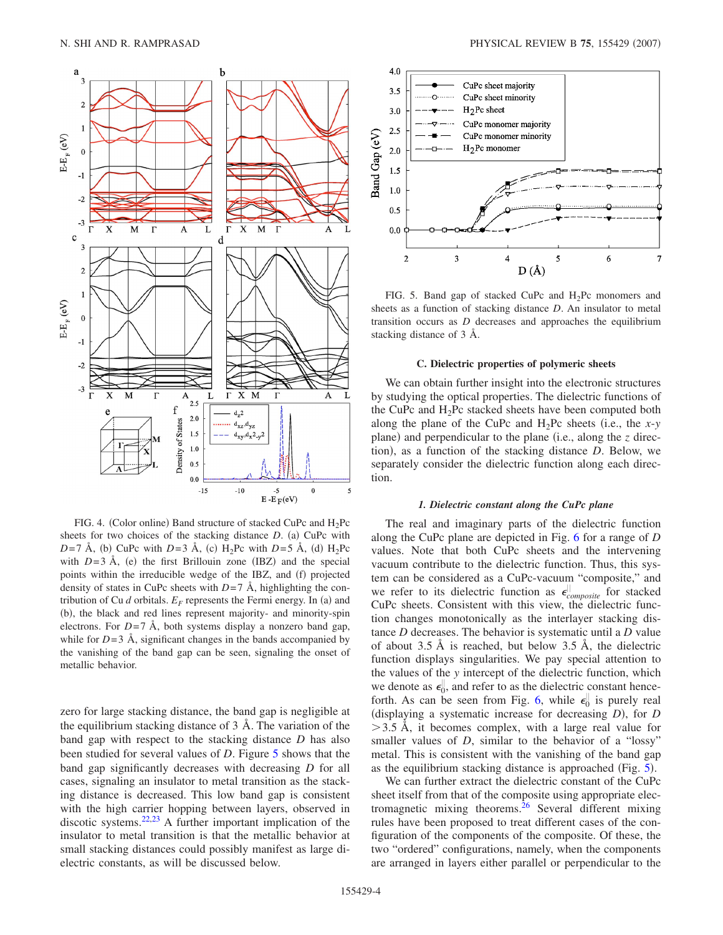<span id="page-3-0"></span>

FIG. 4. (Color online) Band structure of stacked CuPc and  $H_2Pc$ sheets for two choices of the stacking distance *D*. (a) CuPc with  $D=7$  Å, (b) CuPc with  $D=3$  Å, (c) H<sub>2</sub>Pc with  $D=5$  Å, (d) H<sub>2</sub>Pc with  $D=3$  Å, (e) the first Brillouin zone (IBZ) and the special points within the irreducible wedge of the IBZ, and (f) projected density of states in CuPc sheets with  $D=7$  Å, highlighting the contribution of Cu  $d$  orbitals.  $E_F$  represents the Fermi energy. In (a) and (b), the black and red lines represent majority- and minority-spin electrons. For  $D=7$  Å, both systems display a nonzero band gap, while for  $D=3$  Å, significant changes in the bands accompanied by the vanishing of the band gap can be seen, signaling the onset of metallic behavior.

zero for large stacking distance, the band gap is negligible at the equilibrium stacking distance of 3 Å. The variation of the band gap with respect to the stacking distance *D* has also been studied for several values of *D*. Figure [5](#page-3-1) shows that the band gap significantly decreases with decreasing *D* for all cases, signaling an insulator to metal transition as the stacking distance is decreased. This low band gap is consistent with the high carrier hopping between layers, observed in discotic systems.<sup>22,[23](#page-6-21)</sup> A further important implication of the insulator to metal transition is that the metallic behavior at small stacking distances could possibly manifest as large dielectric constants, as will be discussed below.

<span id="page-3-1"></span>

FIG. 5. Band gap of stacked CuPc and  $H_2$ Pc monomers and sheets as a function of stacking distance *D*. An insulator to metal transition occurs as *D* decreases and approaches the equilibrium stacking distance of 3 Å.

#### **C. Dielectric properties of polymeric sheets**

We can obtain further insight into the electronic structures by studying the optical properties. The dielectric functions of the CuPc and  $H_2$ Pc stacked sheets have been computed both along the plane of the CuPc and  $H_2$ Pc sheets (i.e., the *x*- $y$ plane) and perpendicular to the plane (i.e., along the *z* direction), as a function of the stacking distance *D*. Below, we separately consider the dielectric function along each direction.

### *1. Dielectric constant along the CuPc plane*

The real and imaginary parts of the dielectric function along the CuPc plane are depicted in Fig. [6](#page-4-0) for a range of *D* values. Note that both CuPc sheets and the intervening vacuum contribute to the dielectric function. Thus, this system can be considered as a CuPc-vacuum "composite," and we refer to its dielectric function as  $\epsilon_{composite}^{||}$  for stacked CuPc sheets. Consistent with this view, the dielectric function changes monotonically as the interlayer stacking distance *D* decreases. The behavior is systematic until a *D* value of about 3.5 Å is reached, but below 3.5 Å, the dielectric function displays singularities. We pay special attention to the values of the *y* intercept of the dielectric function, which we denote as  $\epsilon_0^{\parallel}$ , and refer to as the dielectric constant hence-forth. As can be seen from Fig. [6,](#page-4-0) while  $\epsilon_0^{\parallel}$  is purely real (displaying a systematic increase for decreasing *D*), for *D*  $>$  3.5 Å, it becomes complex, with a large real value for smaller values of *D*, similar to the behavior of a "lossy" metal. This is consistent with the vanishing of the band gap as the equilibrium stacking distance is approached (Fig.  $5$ ).

We can further extract the dielectric constant of the CuPc sheet itself from that of the composite using appropriate electromagnetic mixing theorems.<sup>26</sup> Several different mixing rules have been proposed to treat different cases of the configuration of the components of the composite. Of these, the two "ordered" configurations, namely, when the components are arranged in layers either parallel or perpendicular to the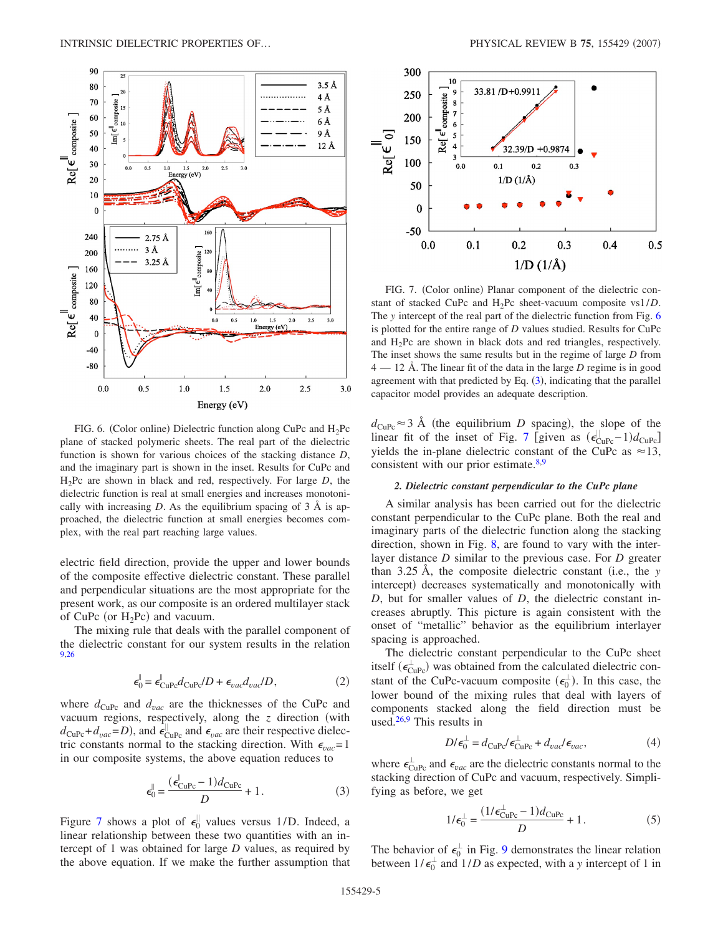<span id="page-4-0"></span>

FIG. 6. (Color online) Dielectric function along CuPc and  $H_2Pc$ plane of stacked polymeric sheets. The real part of the dielectric function is shown for various choices of the stacking distance *D*, and the imaginary part is shown in the inset. Results for CuPc and H2Pc are shown in black and red, respectively. For large *D*, the dielectric function is real at small energies and increases monotonically with increasing  $D$ . As the equilibrium spacing of  $3 \text{ Å}$  is approached, the dielectric function at small energies becomes complex, with the real part reaching large values.

electric field direction, provide the upper and lower bounds of the composite effective dielectric constant. These parallel and perpendicular situations are the most appropriate for the present work, as our composite is an ordered multilayer stack of CuPc (or  $H_2$ Pc) and vacuum.

The mixing rule that deals with the parallel component of the dielectric constant for our system results in the relation [9,](#page-6-8)[26](#page-6-23)

$$
\epsilon_0^{\parallel} = \epsilon_{\rm CuPc}^{\parallel} d_{\rm CuPc} / D + \epsilon_{vac} d_{vac} / D, \qquad (2)
$$

where  $d_{\text{CuPc}}$  and  $d_{\text{vac}}$  are the thicknesses of the CuPc and vacuum regions, respectively, along the  $z$  direction (with  $d_{\text{CuPc}} + d_{\text{vac}} = D$ ), and  $\epsilon_{\text{CuPc}}^{\parallel}$  and  $\epsilon_{\text{vac}}$  are their respective dielectric constants normal to the stacking direction. With  $\epsilon_{vac} = 1$ in our composite systems, the above equation reduces to

$$
\epsilon_0^{\parallel} = \frac{(\epsilon_{\text{CuPc}}^{\parallel} - 1)d_{\text{CuPc}}}{D} + 1.
$$
 (3)

<span id="page-4-2"></span>Figure [7](#page-4-1) shows a plot of  $\epsilon_0^{\parallel}$  values versus 1/D. Indeed, a linear relationship between these two quantities with an intercept of 1 was obtained for large *D* values, as required by the above equation. If we make the further assumption that

<span id="page-4-1"></span>

FIG. 7. (Color online) Planar component of the dielectric constant of stacked CuPc and H2Pc sheet-vacuum composite vs1/*D*. The *y* intercept of the real part of the dielectric function from Fig. [6](#page-4-0) is plotted for the entire range of *D* values studied. Results for CuPc and H2Pc are shown in black dots and red triangles, respectively. The inset shows the same results but in the regime of large *D* from 4 — 12 Å. The linear fit of the data in the large *D* regime is in good agreement with that predicted by Eq.  $(3)$  $(3)$  $(3)$ , indicating that the parallel capacitor model provides an adequate description.

 $d_{\text{CuPe}} \approx 3$  Å (the equilibrium *D* spacing), the slope of the linear fit of the inset of Fig. [7](#page-4-1) [given as  $(\epsilon_{\text{CuPc}}^{||} - 1)d_{\text{CuPc}}$ ] yields the in-plane dielectric constant of the CuPc as  $\approx$ 13, consistent with our prior estimate. $8,9$  $8,9$ 

## *2. Dielectric constant perpendicular to the CuPc plane*

A similar analysis has been carried out for the dielectric constant perpendicular to the CuPc plane. Both the real and imaginary parts of the dielectric function along the stacking direction, shown in Fig. [8,](#page-5-0) are found to vary with the interlayer distance *D* similar to the previous case. For *D* greater than  $3.25 \text{ Å}$ , the composite dielectric constant (i.e., the *y* intercept) decreases systematically and monotonically with *D*, but for smaller values of *D*, the dielectric constant increases abruptly. This picture is again consistent with the onset of "metallic" behavior as the equilibrium interlayer spacing is approached.

The dielectric constant perpendicular to the CuPc sheet itself ( $\epsilon_{\text{CuPe}}^{\perp}$ ) was obtained from the calculated dielectric constant of the CuPc-vacuum composite  $(\epsilon_0^{\perp})$ . In this case, the lower bound of the mixing rules that deal with layers of components stacked along the field direction must be used. $26.9$  This results in

$$
D/\epsilon_0^{\perp} = d_{\rm CuPc}/\epsilon_{\rm CuPc}^{\perp} + d_{\rm vac}/\epsilon_{\rm vac},\tag{4}
$$

where  $\epsilon_{\text{CuPc}}^{\perp}$  and  $\epsilon_{vac}$  are the dielectric constants normal to the stacking direction of CuPc and vacuum, respectively. Simplifying as before, we get

$$
1/\epsilon_0^{\perp} = \frac{(1/\epsilon_{\text{CuPc}}^{\perp} - 1)d_{\text{CuPc}}}{D} + 1.
$$
 (5)

<span id="page-4-3"></span>The behavior of  $\epsilon_0^{\perp}$  in Fig. [9](#page-5-1) demonstrates the linear relation between  $1/\epsilon_0^{\perp}$  and  $1/D$  as expected, with a *y* intercept of 1 in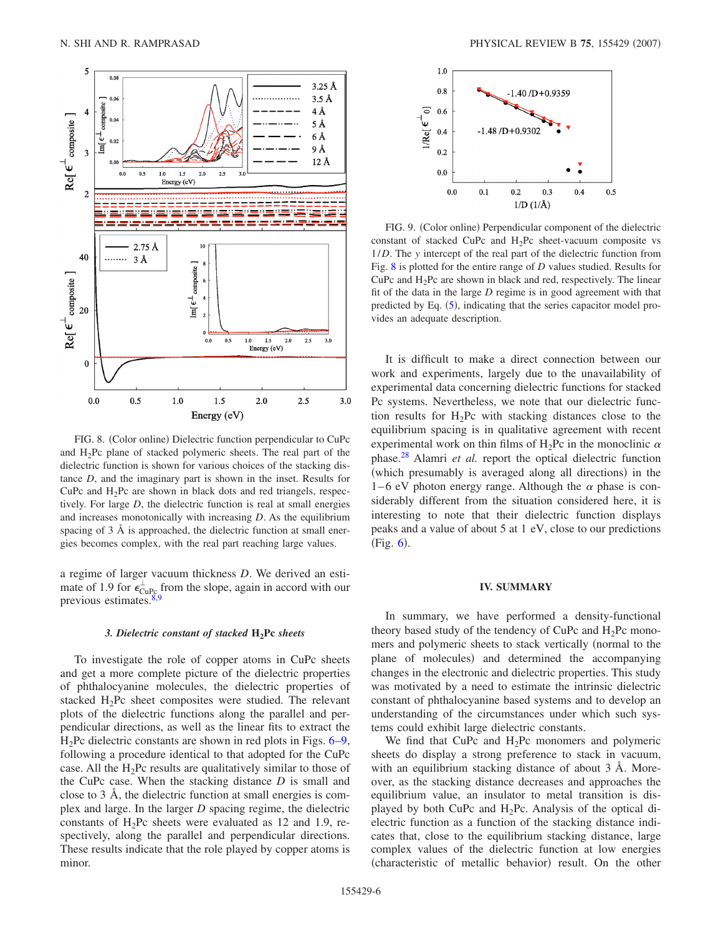<span id="page-5-0"></span>

FIG. 8. (Color online) Dielectric function perpendicular to CuPc and H2Pc plane of stacked polymeric sheets. The real part of the dielectric function is shown for various choices of the stacking distance *D*, and the imaginary part is shown in the inset. Results for CuPc and  $H_2$ Pc are shown in black dots and red triangels, respectively. For large *D*, the dielectric function is real at small energies and increases monotonically with increasing *D*. As the equilibrium spacing of 3 Å is approached, the dielectric function at small energies becomes complex, with the real part reaching large values.

a regime of larger vacuum thickness *D*. We derived an estimate of 1.9 for  $\epsilon_{\text{CuP}_c}^{\perp}$  from the slope, again in accord with our previous estimates. $8,9$  $8,9$ 

#### *3. Dielectric constant of stacked* **H2Pc** *sheets*

To investigate the role of copper atoms in CuPc sheets and get a more complete picture of the dielectric properties of phthalocyanine molecules, the dielectric properties of stacked  $H_2$ Pc sheet composites were studied. The relevant plots of the dielectric functions along the parallel and perpendicular directions, as well as the linear fits to extract the  $H_2$ Pc dielectric constants are shown in red plots in Figs.  $6-9$  $6-9$ , following a procedure identical to that adopted for the CuPc case. All the  $H_2Pc$  results are qualitatively similar to those of the CuPc case. When the stacking distance *D* is small and close to 3 Å, the dielectric function at small energies is complex and large. In the larger *D* spacing regime, the dielectric constants of  $H_2$ Pc sheets were evaluated as 12 and 1.9, respectively, along the parallel and perpendicular directions. These results indicate that the role played by copper atoms is minor.

<span id="page-5-1"></span>

FIG. 9. (Color online) Perpendicular component of the dielectric constant of stacked CuPc and  $H_2Pc$  sheet-vacuum composite vs 1/*D*. The *y* intercept of the real part of the dielectric function from Fig. [8](#page-5-0) is plotted for the entire range of *D* values studied. Results for CuPc and  $H_2$ Pc are shown in black and red, respectively. The linear fit of the data in the large *D* regime is in good agreement with that predicted by Eq.  $(5)$  $(5)$  $(5)$ , indicating that the series capacitor model provides an adequate description.

It is difficult to make a direct connection between our work and experiments, largely due to the unavailability of experimental data concerning dielectric functions for stacked Pc systems. Nevertheless, we note that our dielectric function results for  $H_2$ Pc with stacking distances close to the equilibrium spacing is in qualitative agreement with recent experimental work on thin films of H<sub>2</sub>Pc in the monoclinic  $\alpha$ phase[.28](#page-6-24) Alamri *et al.* report the optical dielectric function (which presumably is averaged along all directions) in the 1–6 eV photon energy range. Although the  $\alpha$  phase is considerably different from the situation considered here, it is interesting to note that their dielectric function displays peaks and a value of about 5 at 1 eV, close to our predictions  $(Fig. 6)$  $(Fig. 6)$  $(Fig. 6)$ .

## **IV. SUMMARY**

In summary, we have performed a density-functional theory based study of the tendency of CuPc and  $H_2$ Pc monomers and polymeric sheets to stack vertically (normal to the plane of molecules) and determined the accompanying changes in the electronic and dielectric properties. This study was motivated by a need to estimate the intrinsic dielectric constant of phthalocyanine based systems and to develop an understanding of the circumstances under which such systems could exhibit large dielectric constants.

We find that CuPc and  $H_2$ Pc monomers and polymeric sheets do display a strong preference to stack in vacuum, with an equilibrium stacking distance of about 3 Å. Moreover, as the stacking distance decreases and approaches the equilibrium value, an insulator to metal transition is displayed by both CuPc and  $H_2$ Pc. Analysis of the optical dielectric function as a function of the stacking distance indicates that, close to the equilibrium stacking distance, large complex values of the dielectric function at low energies (characteristic of metallic behavior) result. On the other